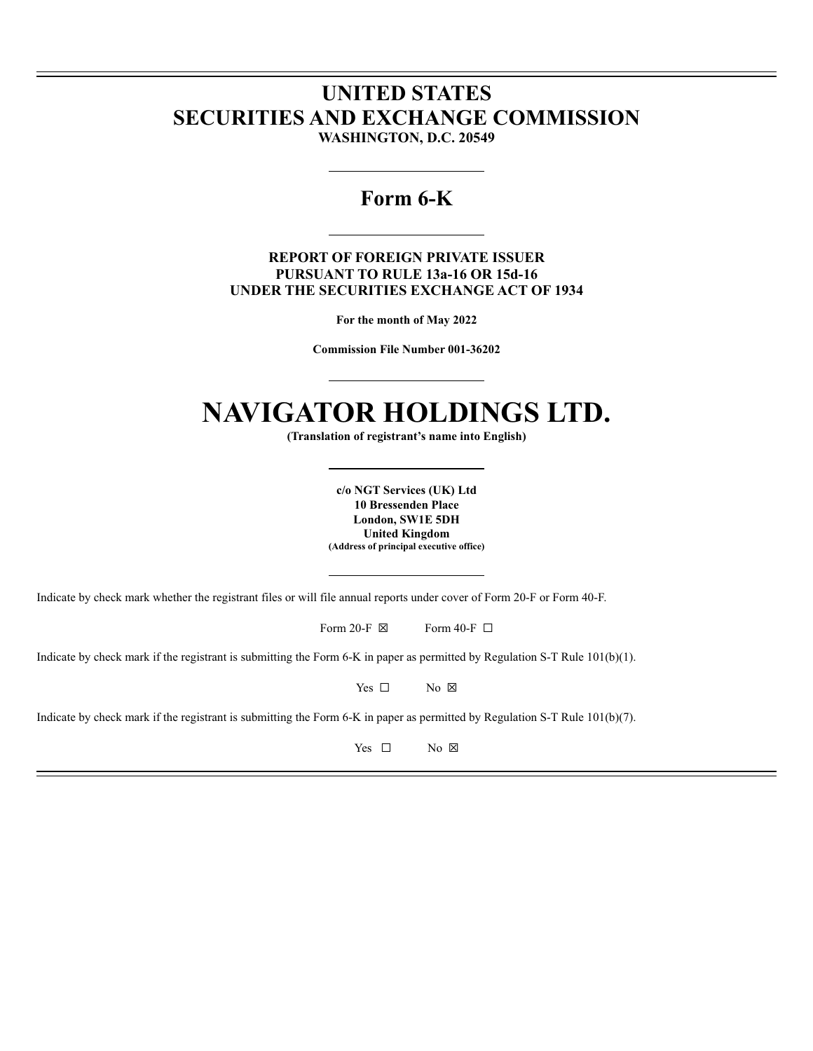## **UNITED STATES SECURITIES AND EXCHANGE COMMISSION WASHINGTON, D.C. 20549**

## **Form 6-K**

**REPORT OF FOREIGN PRIVATE ISSUER PURSUANT TO RULE 13a-16 OR 15d-16 UNDER THE SECURITIES EXCHANGE ACT OF 1934**

**For the month of May 2022**

**Commission File Number 001-36202**

# **NAVIGATOR HOLDINGS LTD.**

**(Translation of registrant's name into English)**

**c/o NGT Services (UK) Ltd 10 Bressenden Place London, SW1E 5DH United Kingdom (Address of principal executive office)**

Indicate by check mark whether the registrant files or will file annual reports under cover of Form 20-F or Form 40-F.

Form 20-F  $\boxtimes$  Form 40-F  $\Box$ 

Indicate by check mark if the registrant is submitting the Form 6-K in paper as permitted by Regulation S-T Rule 101(b)(1).

Yes □ No ⊠

Indicate by check mark if the registrant is submitting the Form 6-K in paper as permitted by Regulation S-T Rule 101(b)(7).

Yes □ No ⊠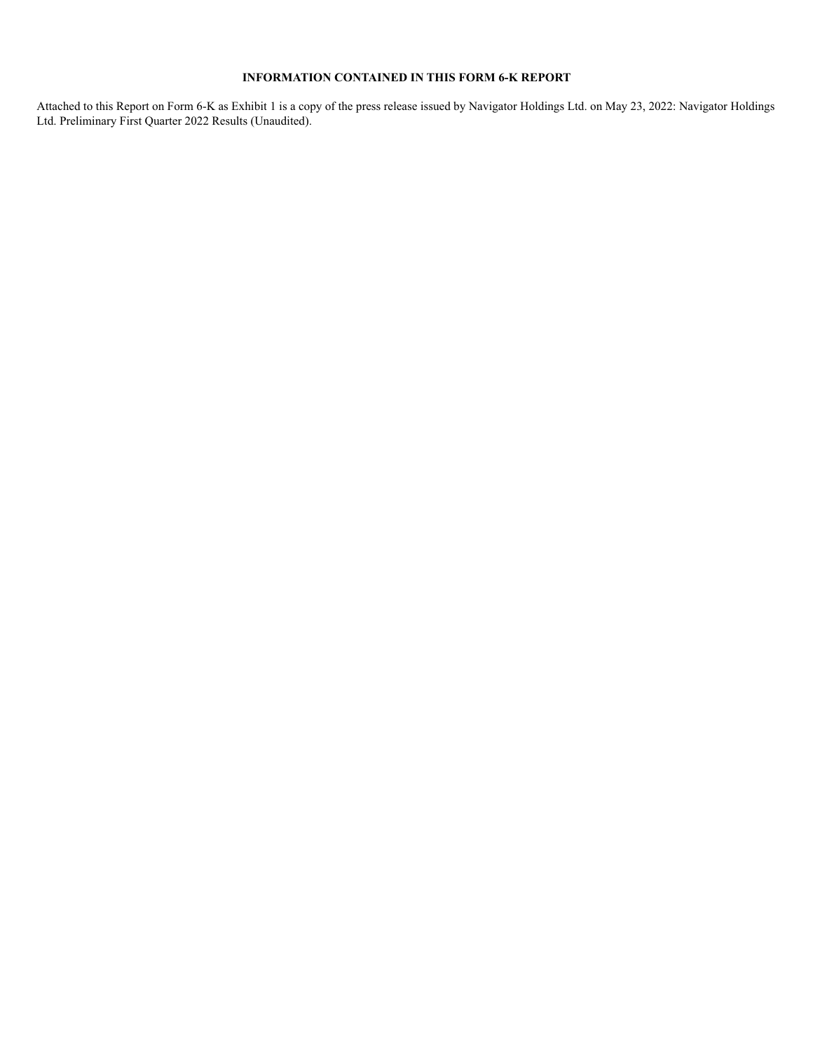#### **INFORMATION CONTAINED IN THIS FORM 6-K REPORT**

Attached to this Report on Form 6-K as Exhibit 1 is a copy of the press release issued by Navigator Holdings Ltd. on May 23, 2022: Navigator Holdings Ltd. Preliminary First Quarter 2022 Results (Unaudited).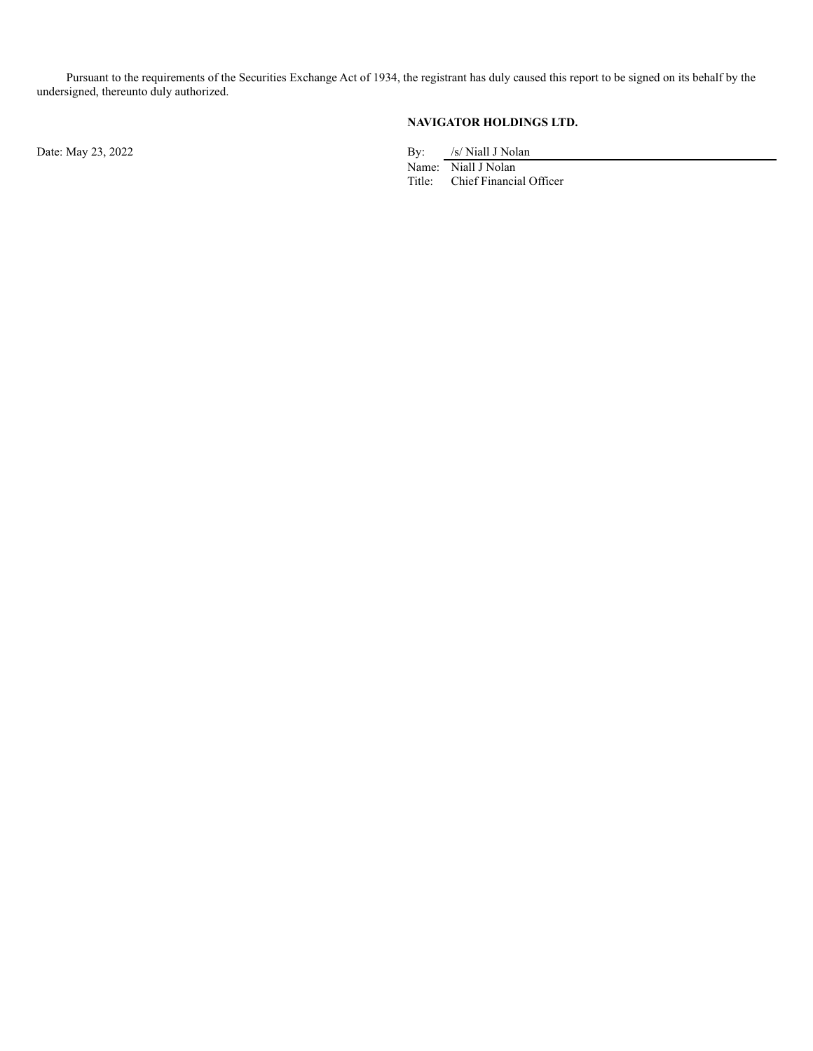Pursuant to the requirements of the Securities Exchange Act of 1934, the registrant has duly caused this report to be signed on its behalf by the undersigned, thereunto duly authorized.

**NAVIGATOR HOLDINGS LTD.**

Date: May 23, 2022 By: /s/ Niall J Nolan

Name: Niall J Nolan<br>Title: Chief Financi Chief Financial Officer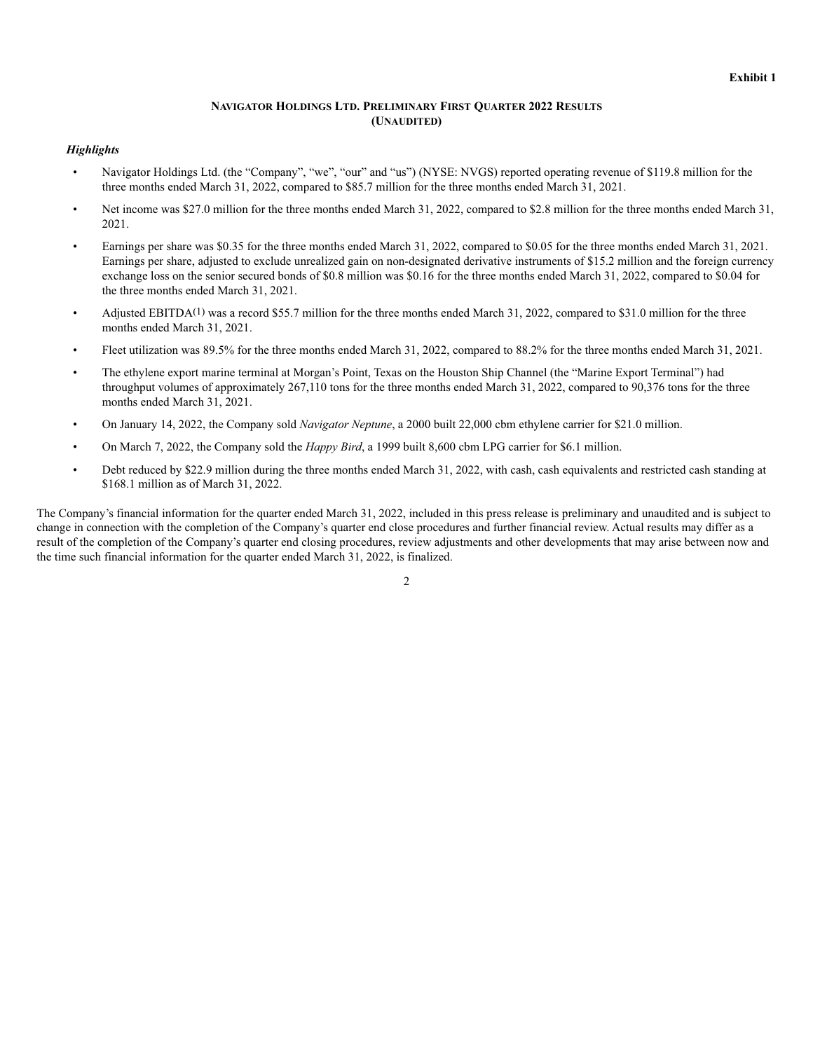#### **NAVIGATOR HOLDINGS LTD. PRELIMINARY FIRST QUARTER 2022 RESULTS (UNAUDITED)**

#### *Highlights*

- Navigator Holdings Ltd. (the "Company", "we", "our" and "us") (NYSE: NVGS) reported operating revenue of \$119.8 million for the three months ended March 31, 2022, compared to \$85.7 million for the three months ended March 31, 2021.
- Net income was \$27.0 million for the three months ended March 31, 2022, compared to \$2.8 million for the three months ended March 31, 2021.
- Earnings per share was \$0.35 for the three months ended March 31, 2022, compared to \$0.05 for the three months ended March 31, 2021. Earnings per share, adjusted to exclude unrealized gain on non-designated derivative instruments of \$15.2 million and the foreign currency exchange loss on the senior secured bonds of \$0.8 million was \$0.16 for the three months ended March 31, 2022, compared to \$0.04 for the three months ended March 31, 2021.
- Adjusted EBITDA(1) was a record \$55.7 million for the three months ended March 31, 2022, compared to \$31.0 million for the three months ended March 31, 2021.
- Fleet utilization was 89.5% for the three months ended March 31, 2022, compared to 88.2% for the three months ended March 31, 2021.
- The ethylene export marine terminal at Morgan's Point, Texas on the Houston Ship Channel (the "Marine Export Terminal") had throughput volumes of approximately 267,110 tons for the three months ended March 31, 2022, compared to 90,376 tons for the three months ended March 31, 2021.
- On January 14, 2022, the Company sold *Navigator Neptune*, a 2000 built 22,000 cbm ethylene carrier for \$21.0 million.
- On March 7, 2022, the Company sold the *Happy Bird*, a 1999 built 8,600 cbm LPG carrier for \$6.1 million.
- Debt reduced by \$22.9 million during the three months ended March 31, 2022, with cash, cash equivalents and restricted cash standing at \$168.1 million as of March 31, 2022.

The Company's financial information for the quarter ended March 31, 2022, included in this press release is preliminary and unaudited and is subject to change in connection with the completion of the Company's quarter end close procedures and further financial review. Actual results may differ as a result of the completion of the Company's quarter end closing procedures, review adjustments and other developments that may arise between now and the time such financial information for the quarter ended March 31, 2022, is finalized.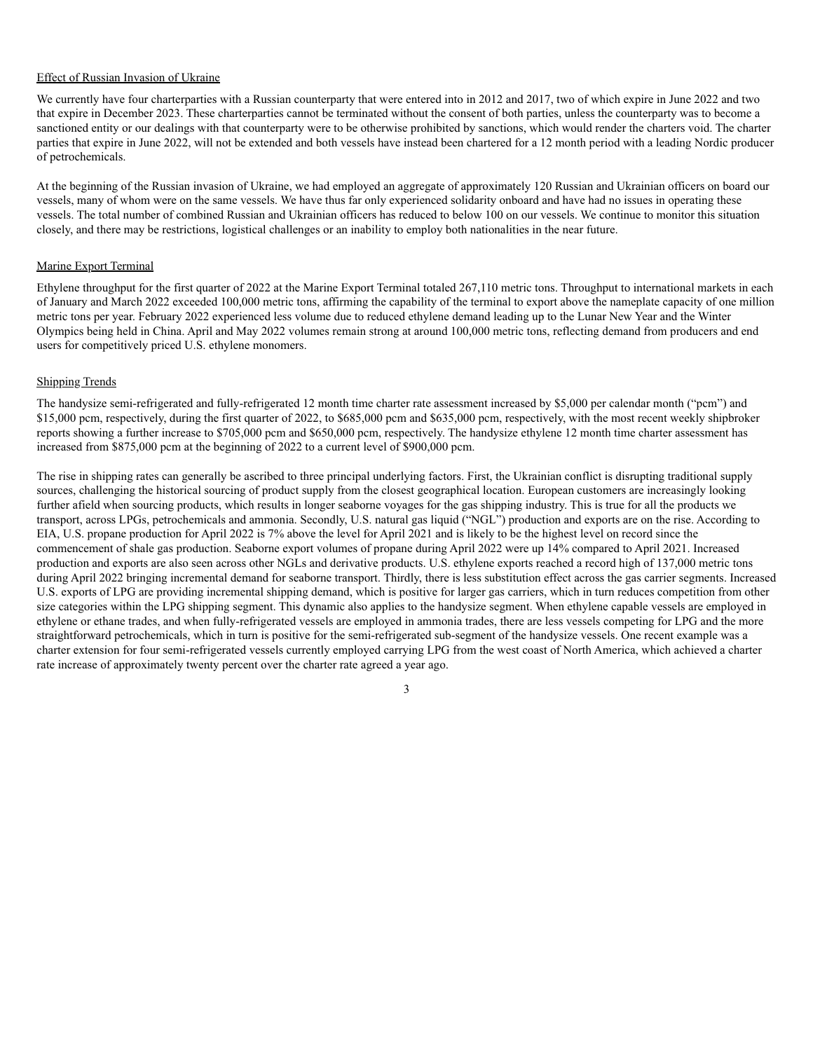#### Effect of Russian Invasion of Ukraine

We currently have four charterparties with a Russian counterparty that were entered into in 2012 and 2017, two of which expire in June 2022 and two that expire in December 2023. These charterparties cannot be terminated without the consent of both parties, unless the counterparty was to become a sanctioned entity or our dealings with that counterparty were to be otherwise prohibited by sanctions, which would render the charters void. The charter parties that expire in June 2022, will not be extended and both vessels have instead been chartered for a 12 month period with a leading Nordic producer of petrochemicals.

At the beginning of the Russian invasion of Ukraine, we had employed an aggregate of approximately 120 Russian and Ukrainian officers on board our vessels, many of whom were on the same vessels. We have thus far only experienced solidarity onboard and have had no issues in operating these vessels. The total number of combined Russian and Ukrainian officers has reduced to below 100 on our vessels. We continue to monitor this situation closely, and there may be restrictions, logistical challenges or an inability to employ both nationalities in the near future.

#### Marine Export Terminal

Ethylene throughput for the first quarter of 2022 at the Marine Export Terminal totaled 267,110 metric tons. Throughput to international markets in each of January and March 2022 exceeded 100,000 metric tons, affirming the capability of the terminal to export above the nameplate capacity of one million metric tons per year. February 2022 experienced less volume due to reduced ethylene demand leading up to the Lunar New Year and the Winter Olympics being held in China. April and May 2022 volumes remain strong at around 100,000 metric tons, reflecting demand from producers and end users for competitively priced U.S. ethylene monomers.

#### Shipping Trends

The handysize semi-refrigerated and fully-refrigerated 12 month time charter rate assessment increased by \$5,000 per calendar month ("pcm") and \$15,000 pcm, respectively, during the first quarter of 2022, to \$685,000 pcm and \$635,000 pcm, respectively, with the most recent weekly shipbroker reports showing a further increase to \$705,000 pcm and \$650,000 pcm, respectively. The handysize ethylene 12 month time charter assessment has increased from \$875,000 pcm at the beginning of 2022 to a current level of \$900,000 pcm.

The rise in shipping rates can generally be ascribed to three principal underlying factors. First, the Ukrainian conflict is disrupting traditional supply sources, challenging the historical sourcing of product supply from the closest geographical location. European customers are increasingly looking further afield when sourcing products, which results in longer seaborne voyages for the gas shipping industry. This is true for all the products we transport, across LPGs, petrochemicals and ammonia. Secondly, U.S. natural gas liquid ("NGL") production and exports are on the rise. According to EIA, U.S. propane production for April 2022 is 7% above the level for April 2021 and is likely to be the highest level on record since the commencement of shale gas production. Seaborne export volumes of propane during April 2022 were up 14% compared to April 2021. Increased production and exports are also seen across other NGLs and derivative products. U.S. ethylene exports reached a record high of 137,000 metric tons during April 2022 bringing incremental demand for seaborne transport. Thirdly, there is less substitution effect across the gas carrier segments. Increased U.S. exports of LPG are providing incremental shipping demand, which is positive for larger gas carriers, which in turn reduces competition from other size categories within the LPG shipping segment. This dynamic also applies to the handysize segment. When ethylene capable vessels are employed in ethylene or ethane trades, and when fully-refrigerated vessels are employed in ammonia trades, there are less vessels competing for LPG and the more straightforward petrochemicals, which in turn is positive for the semi-refrigerated sub-segment of the handysize vessels. One recent example was a charter extension for four semi-refrigerated vessels currently employed carrying LPG from the west coast of North America, which achieved a charter rate increase of approximately twenty percent over the charter rate agreed a year ago.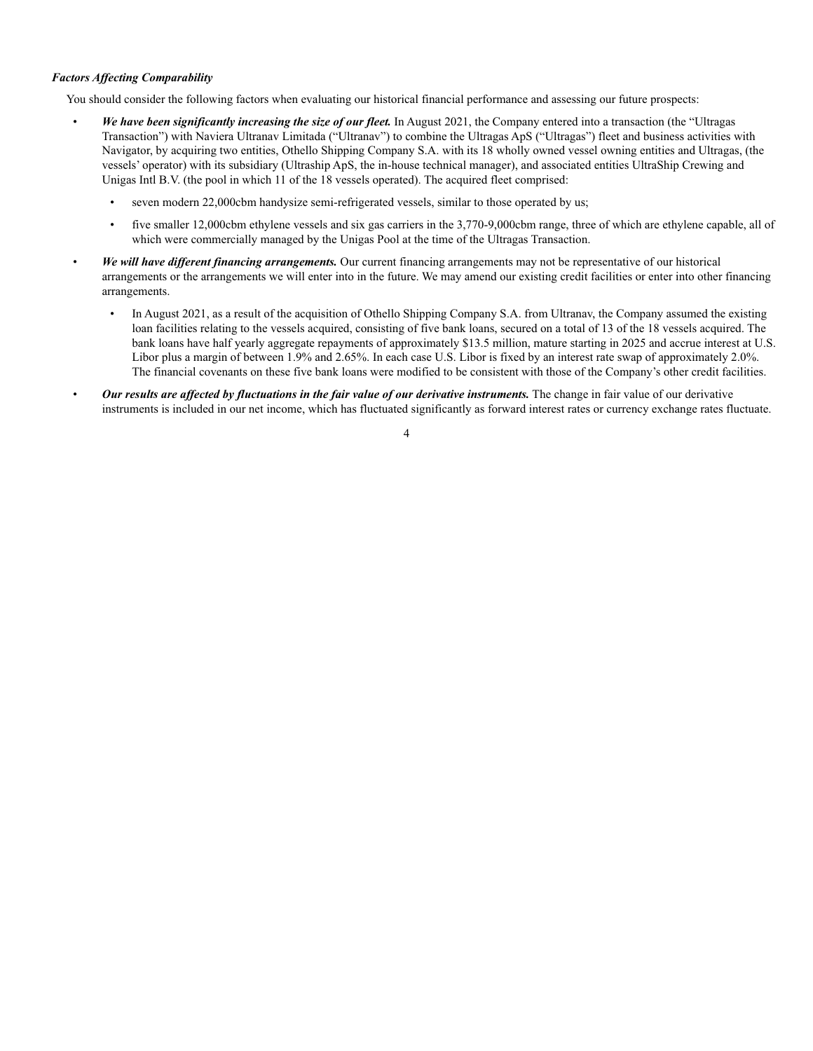#### *Factors Affecting Comparability*

You should consider the following factors when evaluating our historical financial performance and assessing our future prospects:

- *We have been significantly increasing the size of our fleet.* In August 2021, the Company entered into a transaction (the "Ultragas Transaction") with Naviera Ultranav Limitada ("Ultranav") to combine the Ultragas ApS ("Ultragas") fleet and business activities with Navigator, by acquiring two entities, Othello Shipping Company S.A. with its 18 wholly owned vessel owning entities and Ultragas, (the vessels' operator) with its subsidiary (Ultraship ApS, the in-house technical manager), and associated entities UltraShip Crewing and Unigas Intl B.V. (the pool in which 11 of the 18 vessels operated). The acquired fleet comprised:
	- seven modern 22,000cbm handysize semi-refrigerated vessels, similar to those operated by us;
	- five smaller 12,000cbm ethylene vessels and six gas carriers in the 3,770-9,000cbm range, three of which are ethylene capable, all of which were commercially managed by the Unigas Pool at the time of the Ultragas Transaction.
- *We will have different financing arrangements.* Our current financing arrangements may not be representative of our historical arrangements or the arrangements we will enter into in the future. We may amend our existing credit facilities or enter into other financing arrangements.
	- In August 2021, as a result of the acquisition of Othello Shipping Company S.A. from Ultranav, the Company assumed the existing loan facilities relating to the vessels acquired, consisting of five bank loans, secured on a total of 13 of the 18 vessels acquired. The bank loans have half yearly aggregate repayments of approximately \$13.5 million, mature starting in 2025 and accrue interest at U.S. Libor plus a margin of between 1.9% and 2.65%. In each case U.S. Libor is fixed by an interest rate swap of approximately 2.0%. The financial covenants on these five bank loans were modified to be consistent with those of the Company's other credit facilities.
- *Our results are affected by fluctuations in the fair value of our derivative instruments.* The change in fair value of our derivative instruments is included in our net income, which has fluctuated significantly as forward interest rates or currency exchange rates fluctuate.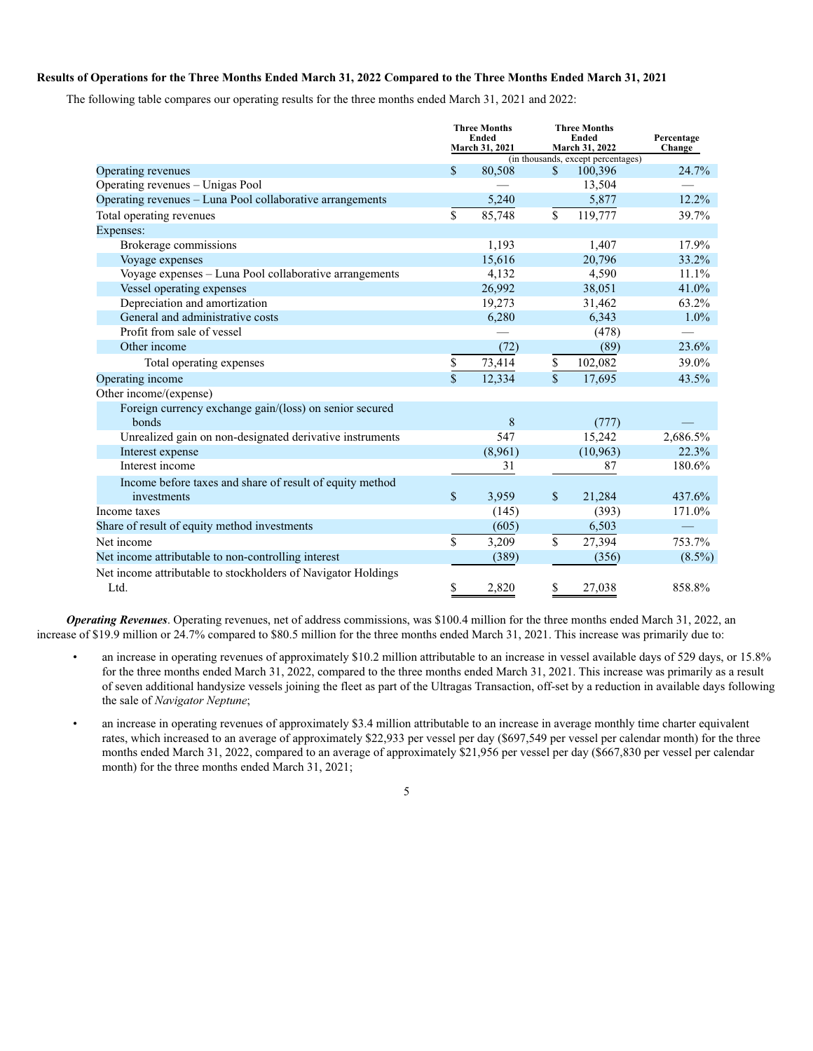#### **Results of Operations for the Three Months Ended March 31, 2022 Compared to the Three Months Ended March 31, 2021**

The following table compares our operating results for the three months ended March 31, 2021 and 2022:

|                                                               | <b>Three Months</b><br><b>Ended</b> |                                                                        |              | <b>Three Months</b><br>Ended | Percentage |
|---------------------------------------------------------------|-------------------------------------|------------------------------------------------------------------------|--------------|------------------------------|------------|
|                                                               |                                     | March 31, 2022<br>March 31, 2021<br>(in thousands, except percentages) |              |                              | Change     |
| Operating revenues                                            | \$                                  | 80,508                                                                 | $\mathbf{s}$ | 100,396                      | 24.7%      |
| Operating revenues - Unigas Pool                              |                                     |                                                                        |              | 13,504                       |            |
| Operating revenues - Luna Pool collaborative arrangements     |                                     | 5,240                                                                  |              | 5,877                        | 12.2%      |
| Total operating revenues                                      | \$                                  | 85,748                                                                 | \$           | 119,777                      | 39.7%      |
| Expenses:                                                     |                                     |                                                                        |              |                              |            |
| Brokerage commissions                                         |                                     | 1.193                                                                  |              | 1,407                        | 17.9%      |
| Voyage expenses                                               |                                     | 15,616                                                                 |              | 20,796                       | 33.2%      |
| Voyage expenses - Luna Pool collaborative arrangements        |                                     | 4,132                                                                  |              | 4,590                        | 11.1%      |
| Vessel operating expenses                                     |                                     | 26,992                                                                 |              | 38,051                       | 41.0%      |
| Depreciation and amortization                                 |                                     | 19,273                                                                 |              | 31,462                       | 63.2%      |
| General and administrative costs                              |                                     | 6,280                                                                  |              | 6,343                        | $1.0\%$    |
| Profit from sale of vessel                                    |                                     |                                                                        |              | (478)                        |            |
| Other income                                                  |                                     | (72)                                                                   |              | (89)                         | 23.6%      |
| Total operating expenses                                      | \$                                  | 73,414                                                                 | \$           | 102,082                      | 39.0%      |
| Operating income                                              | $\mathbf{\hat{s}}$                  | 12,334                                                                 | $\mathbf{s}$ | 17,695                       | 43.5%      |
| Other income/(expense)                                        |                                     |                                                                        |              |                              |            |
| Foreign currency exchange gain/(loss) on senior secured       |                                     |                                                                        |              |                              |            |
| bonds                                                         |                                     | 8                                                                      |              | (777)                        |            |
| Unrealized gain on non-designated derivative instruments      |                                     | 547                                                                    |              | 15,242                       | 2,686.5%   |
| Interest expense                                              |                                     | (8,961)                                                                |              | (10, 963)                    | 22.3%      |
| Interest income                                               |                                     | 31                                                                     |              | 87                           | 180.6%     |
| Income before taxes and share of result of equity method      |                                     |                                                                        |              |                              |            |
| investments                                                   | $\mathbb{S}$                        | 3,959                                                                  | \$           | 21,284                       | 437.6%     |
| Income taxes                                                  |                                     | (145)                                                                  |              | (393)                        | 171.0%     |
| Share of result of equity method investments                  |                                     | (605)                                                                  |              | 6,503                        |            |
| Net income                                                    | \$                                  | 3,209                                                                  | \$           | 27,394                       | 753.7%     |
| Net income attributable to non-controlling interest           |                                     | (389)                                                                  |              | (356)                        | $(8.5\%)$  |
| Net income attributable to stockholders of Navigator Holdings |                                     |                                                                        |              |                              |            |
| Ltd.                                                          | \$                                  | 2,820                                                                  | \$           | 27,038                       | 858.8%     |

*Operating Revenues*. Operating revenues, net of address commissions, was \$100.4 million for the three months ended March 31, 2022, an increase of \$19.9 million or 24.7% compared to \$80.5 million for the three months ended March 31, 2021. This increase was primarily due to:

- an increase in operating revenues of approximately \$10.2 million attributable to an increase in vessel available days of 529 days, or 15.8% for the three months ended March 31, 2022, compared to the three months ended March 31, 2021. This increase was primarily as a result of seven additional handysize vessels joining the fleet as part of the Ultragas Transaction, off-set by a reduction in available days following the sale of *Navigator Neptune*;
- an increase in operating revenues of approximately \$3.4 million attributable to an increase in average monthly time charter equivalent rates, which increased to an average of approximately \$22,933 per vessel per day (\$697,549 per vessel per calendar month) for the three months ended March 31, 2022, compared to an average of approximately \$21,956 per vessel per day (\$667,830 per vessel per calendar month) for the three months ended March 31, 2021;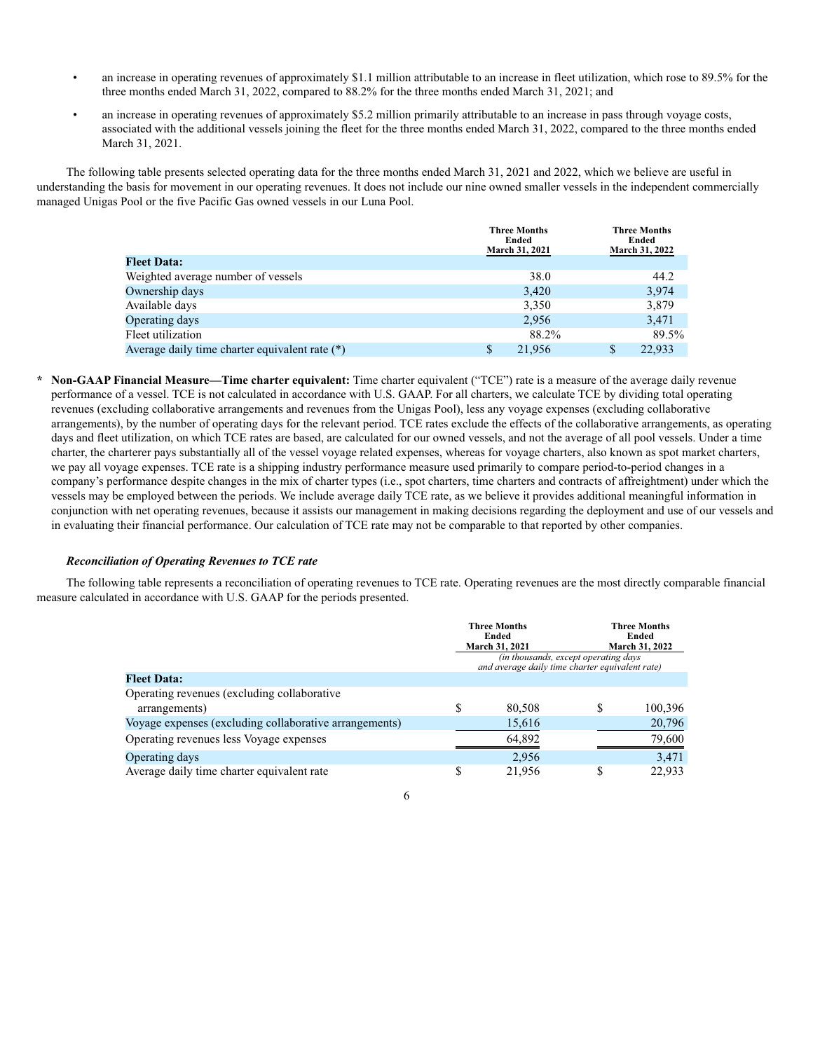- an increase in operating revenues of approximately \$1.1 million attributable to an increase in fleet utilization, which rose to 89.5% for the three months ended March 31, 2022, compared to 88.2% for the three months ended March 31, 2021; and
- an increase in operating revenues of approximately \$5.2 million primarily attributable to an increase in pass through voyage costs, associated with the additional vessels joining the fleet for the three months ended March 31, 2022, compared to the three months ended March 31, 2021.

The following table presents selected operating data for the three months ended March 31, 2021 and 2022, which we believe are useful in understanding the basis for movement in our operating revenues. It does not include our nine owned smaller vessels in the independent commercially managed Unigas Pool or the five Pacific Gas owned vessels in our Luna Pool.

|                                                  | <b>Three Months</b><br>Ended | <b>Three Months</b><br>Ended |
|--------------------------------------------------|------------------------------|------------------------------|
|                                                  | <b>March 31, 2021</b>        | <b>March 31, 2022</b>        |
| <b>Fleet Data:</b>                               |                              |                              |
| Weighted average number of vessels               | 38.0                         | 44.2                         |
| Ownership days                                   | 3,420                        | 3,974                        |
| Available days                                   | 3,350                        | 3,879                        |
| Operating days                                   | 2.956                        | 3,471                        |
| Fleet utilization                                | 88.2%                        | 89.5%                        |
| Average daily time charter equivalent rate $(*)$ | \$<br>21,956                 | 22,933<br>S                  |

**\* Non-GAAP Financial Measure—Time charter equivalent:** Time charter equivalent ("TCE") rate is a measure of the average daily revenue performance of a vessel. TCE is not calculated in accordance with U.S. GAAP. For all charters, we calculate TCE by dividing total operating revenues (excluding collaborative arrangements and revenues from the Unigas Pool), less any voyage expenses (excluding collaborative arrangements), by the number of operating days for the relevant period. TCE rates exclude the effects of the collaborative arrangements, as operating days and fleet utilization, on which TCE rates are based, are calculated for our owned vessels, and not the average of all pool vessels. Under a time charter, the charterer pays substantially all of the vessel voyage related expenses, whereas for voyage charters, also known as spot market charters, we pay all voyage expenses. TCE rate is a shipping industry performance measure used primarily to compare period-to-period changes in a company's performance despite changes in the mix of charter types (i.e., spot charters, time charters and contracts of affreightment) under which the vessels may be employed between the periods. We include average daily TCE rate, as we believe it provides additional meaningful information in conjunction with net operating revenues, because it assists our management in making decisions regarding the deployment and use of our vessels and in evaluating their financial performance. Our calculation of TCE rate may not be comparable to that reported by other companies.

#### *Reconciliation of Operating Revenues to TCE rate*

The following table represents a reconciliation of operating revenues to TCE rate. Operating revenues are the most directly comparable financial measure calculated in accordance with U.S. GAAP for the periods presented.

|                                                        |   | <b>Three Months</b><br>Ended<br>March 31, 2021<br>(in thousands, except operating days |   | <b>Three Months</b><br>Ended<br>March 31, 2022 |  |  |
|--------------------------------------------------------|---|----------------------------------------------------------------------------------------|---|------------------------------------------------|--|--|
|                                                        |   | and average daily time charter equivalent rate)                                        |   |                                                |  |  |
| <b>Fleet Data:</b>                                     |   |                                                                                        |   |                                                |  |  |
| Operating revenues (excluding collaborative            |   |                                                                                        |   |                                                |  |  |
| arrangements)                                          | S | 80,508                                                                                 | S | 100.396                                        |  |  |
| Voyage expenses (excluding collaborative arrangements) |   | 15,616                                                                                 |   | 20,796                                         |  |  |
| Operating revenues less Voyage expenses                |   | 64,892                                                                                 |   | 79,600                                         |  |  |
| Operating days                                         |   | 2,956                                                                                  |   | 3,471                                          |  |  |
| Average daily time charter equivalent rate             | S | 21.956                                                                                 | S | 22.933                                         |  |  |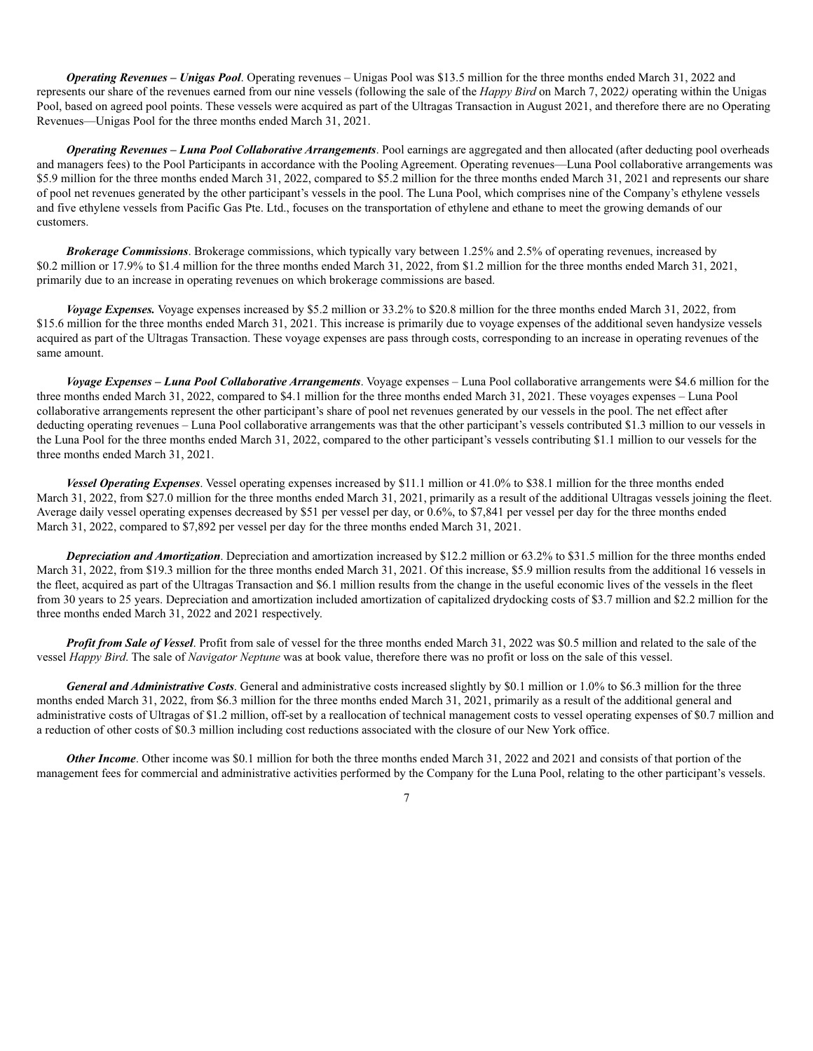*Operating Revenues – Unigas Pool*. Operating revenues – Unigas Pool was \$13.5 million for the three months ended March 31, 2022 and represents our share of the revenues earned from our nine vessels (following the sale of the *Happy Bird* on March 7, 2022*)* operating within the Unigas Pool, based on agreed pool points. These vessels were acquired as part of the Ultragas Transaction in August 2021, and therefore there are no Operating Revenues—Unigas Pool for the three months ended March 31, 2021.

*Operating Revenues – Luna Pool Collaborative Arrangements*. Pool earnings are aggregated and then allocated (after deducting pool overheads and managers fees) to the Pool Participants in accordance with the Pooling Agreement. Operating revenues—Luna Pool collaborative arrangements was \$5.9 million for the three months ended March 31, 2022, compared to \$5.2 million for the three months ended March 31, 2021 and represents our share of pool net revenues generated by the other participant's vessels in the pool. The Luna Pool, which comprises nine of the Company's ethylene vessels and five ethylene vessels from Pacific Gas Pte. Ltd., focuses on the transportation of ethylene and ethane to meet the growing demands of our customers.

*Brokerage Commissions*. Brokerage commissions, which typically vary between 1.25% and 2.5% of operating revenues, increased by \$0.2 million or 17.9% to \$1.4 million for the three months ended March 31, 2022, from \$1.2 million for the three months ended March 31, 2021, primarily due to an increase in operating revenues on which brokerage commissions are based.

*Voyage Expenses.* Voyage expenses increased by \$5.2 million or 33.2% to \$20.8 million for the three months ended March 31, 2022, from \$15.6 million for the three months ended March 31, 2021. This increase is primarily due to voyage expenses of the additional seven handysize vessels acquired as part of the Ultragas Transaction. These voyage expenses are pass through costs, corresponding to an increase in operating revenues of the same amount.

*Voyage Expenses – Luna Pool Collaborative Arrangements*. Voyage expenses – Luna Pool collaborative arrangements were \$4.6 million for the three months ended March 31, 2022, compared to \$4.1 million for the three months ended March 31, 2021. These voyages expenses – Luna Pool collaborative arrangements represent the other participant's share of pool net revenues generated by our vessels in the pool. The net effect after deducting operating revenues – Luna Pool collaborative arrangements was that the other participant's vessels contributed \$1.3 million to our vessels in the Luna Pool for the three months ended March 31, 2022, compared to the other participant's vessels contributing \$1.1 million to our vessels for the three months ended March 31, 2021.

*Vessel Operating Expenses*. Vessel operating expenses increased by \$11.1 million or 41.0% to \$38.1 million for the three months ended March 31, 2022, from \$27.0 million for the three months ended March 31, 2021, primarily as a result of the additional Ultragas vessels joining the fleet. Average daily vessel operating expenses decreased by \$51 per vessel per day, or 0.6%, to \$7,841 per vessel per day for the three months ended March 31, 2022, compared to \$7,892 per vessel per day for the three months ended March 31, 2021.

*Depreciation and Amortization*. Depreciation and amortization increased by \$12.2 million or 63.2% to \$31.5 million for the three months ended March 31, 2022, from \$19.3 million for the three months ended March 31, 2021. Of this increase, \$5.9 million results from the additional 16 vessels in the fleet, acquired as part of the Ultragas Transaction and \$6.1 million results from the change in the useful economic lives of the vessels in the fleet from 30 years to 25 years. Depreciation and amortization included amortization of capitalized drydocking costs of \$3.7 million and \$2.2 million for the three months ended March 31, 2022 and 2021 respectively.

*Profit from Sale of Vessel*. Profit from sale of vessel for the three months ended March 31, 2022 was \$0.5 million and related to the sale of the vessel *Happy Bird*. The sale of *Navigator Neptune* was at book value, therefore there was no profit or loss on the sale of this vessel.

*General and Administrative Costs*. General and administrative costs increased slightly by \$0.1 million or 1.0% to \$6.3 million for the three months ended March 31, 2022, from \$6.3 million for the three months ended March 31, 2021, primarily as a result of the additional general and administrative costs of Ultragas of \$1.2 million, off-set by a reallocation of technical management costs to vessel operating expenses of \$0.7 million and a reduction of other costs of \$0.3 million including cost reductions associated with the closure of our New York office.

*Other Income*. Other income was \$0.1 million for both the three months ended March 31, 2022 and 2021 and consists of that portion of the management fees for commercial and administrative activities performed by the Company for the Luna Pool, relating to the other participant's vessels.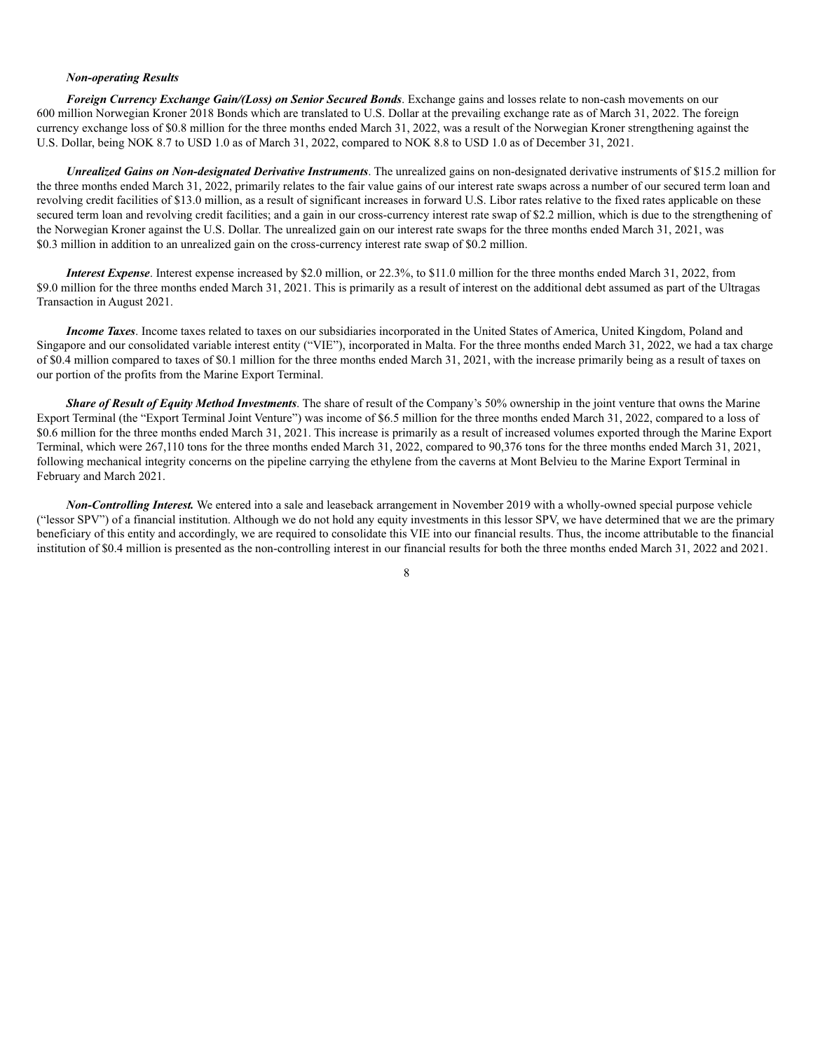#### *Non-operating Results*

*Foreign Currency Exchange Gain/(Loss) on Senior Secured Bonds*. Exchange gains and losses relate to non-cash movements on our 600 million Norwegian Kroner 2018 Bonds which are translated to U.S. Dollar at the prevailing exchange rate as of March 31, 2022. The foreign currency exchange loss of \$0.8 million for the three months ended March 31, 2022, was a result of the Norwegian Kroner strengthening against the U.S. Dollar, being NOK 8.7 to USD 1.0 as of March 31, 2022, compared to NOK 8.8 to USD 1.0 as of December 31, 2021.

*Unrealized Gains on Non-designated Derivative Instruments*. The unrealized gains on non-designated derivative instruments of \$15.2 million for the three months ended March 31, 2022, primarily relates to the fair value gains of our interest rate swaps across a number of our secured term loan and revolving credit facilities of \$13.0 million, as a result of significant increases in forward U.S. Libor rates relative to the fixed rates applicable on these secured term loan and revolving credit facilities; and a gain in our cross-currency interest rate swap of \$2.2 million, which is due to the strengthening of the Norwegian Kroner against the U.S. Dollar. The unrealized gain on our interest rate swaps for the three months ended March 31, 2021, was \$0.3 million in addition to an unrealized gain on the cross-currency interest rate swap of \$0.2 million.

*Interest Expense*. Interest expense increased by \$2.0 million, or 22.3%, to \$11.0 million for the three months ended March 31, 2022, from \$9.0 million for the three months ended March 31, 2021. This is primarily as a result of interest on the additional debt assumed as part of the Ultragas Transaction in August 2021.

*Income Taxes*. Income taxes related to taxes on our subsidiaries incorporated in the United States of America, United Kingdom, Poland and Singapore and our consolidated variable interest entity ("VIE"), incorporated in Malta. For the three months ended March 31, 2022, we had a tax charge of \$0.4 million compared to taxes of \$0.1 million for the three months ended March 31, 2021, with the increase primarily being as a result of taxes on our portion of the profits from the Marine Export Terminal.

*Share of Result of Equity Method Investments*. The share of result of the Company's 50% ownership in the joint venture that owns the Marine Export Terminal (the "Export Terminal Joint Venture") was income of \$6.5 million for the three months ended March 31, 2022, compared to a loss of \$0.6 million for the three months ended March 31, 2021. This increase is primarily as a result of increased volumes exported through the Marine Export Terminal, which were 267,110 tons for the three months ended March 31, 2022, compared to 90,376 tons for the three months ended March 31, 2021, following mechanical integrity concerns on the pipeline carrying the ethylene from the caverns at Mont Belvieu to the Marine Export Terminal in February and March 2021.

*Non-Controlling Interest.* We entered into a sale and leaseback arrangement in November 2019 with a wholly-owned special purpose vehicle ("lessor SPV") of a financial institution. Although we do not hold any equity investments in this lessor SPV, we have determined that we are the primary beneficiary of this entity and accordingly, we are required to consolidate this VIE into our financial results. Thus, the income attributable to the financial institution of \$0.4 million is presented as the non-controlling interest in our financial results for both the three months ended March 31, 2022 and 2021.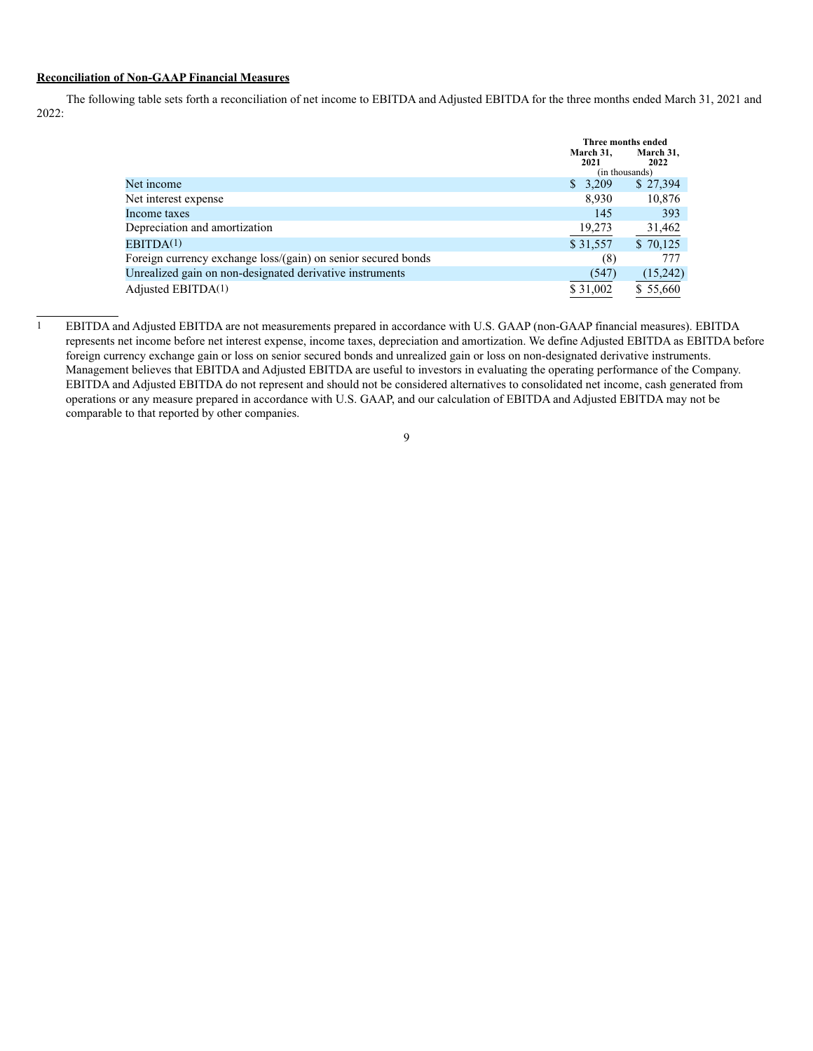#### **Reconciliation of Non-GAAP Financial Measures**

The following table sets forth a reconciliation of net income to EBITDA and Adjusted EBITDA for the three months ended March 31, 2021 and 2022:

|                                                               | Three months ended<br>March 31.<br>2021<br>(in thousands) | March 31.<br>2022 |  |
|---------------------------------------------------------------|-----------------------------------------------------------|-------------------|--|
| Net income                                                    | \$3,209                                                   | \$27,394          |  |
| Net interest expense                                          | 8.930                                                     | 10,876            |  |
| Income taxes                                                  | 145                                                       | 393               |  |
| Depreciation and amortization                                 | 19,273                                                    | 31,462            |  |
| EBITDA(1)                                                     | \$31,557                                                  | \$70,125          |  |
| Foreign currency exchange loss/(gain) on senior secured bonds | (8)                                                       | 777               |  |
| Unrealized gain on non-designated derivative instruments      | (547)                                                     | (15,242)          |  |
| Adjusted EBITDA $(1)$                                         | \$31,002                                                  | \$55,660          |  |

<sup>&</sup>lt;sup>1</sup> EBITDA and Adjusted EBITDA are not measurements prepared in accordance with U.S. GAAP (non-GAAP financial measures). EBITDA represents net income before net interest expense, income taxes, depreciation and amortization. We define Adjusted EBITDA as EBITDA before foreign currency exchange gain or loss on senior secured bonds and unrealized gain or loss on non-designated derivative instruments. Management believes that EBITDA and Adjusted EBITDA are useful to investors in evaluating the operating performance of the Company. EBITDA and Adjusted EBITDA do not represent and should not be considered alternatives to consolidated net income, cash generated from operations or any measure prepared in accordance with U.S. GAAP, and our calculation of EBITDA and Adjusted EBITDA may not be comparable to that reported by other companies.

<sup>9</sup>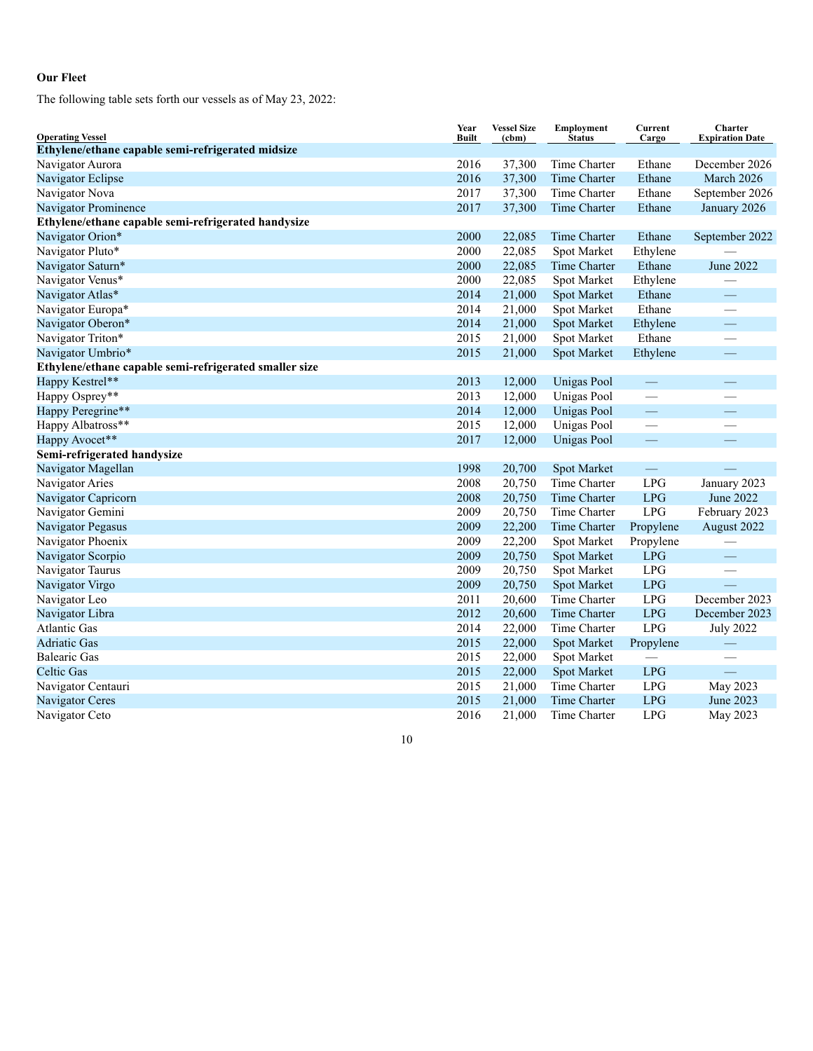### **Our Fleet**

The following table sets forth our vessels as of May 23, 2022:

| <b>Operating Vessel</b>                                | Year<br><b>Built</b> | <b>Vessel Size</b><br>(cbm) | <b>Employment</b><br><b>Status</b> | Current<br>Cargo         | Charter<br><b>Expiration Date</b> |
|--------------------------------------------------------|----------------------|-----------------------------|------------------------------------|--------------------------|-----------------------------------|
| Ethylene/ethane capable semi-refrigerated midsize      |                      |                             |                                    |                          |                                   |
| Navigator Aurora                                       | 2016                 | 37,300                      | Time Charter                       | Ethane                   | December 2026                     |
| Navigator Eclipse                                      | 2016                 | 37,300                      | Time Charter                       | Ethane                   | March 2026                        |
| Navigator Nova                                         | 2017                 | 37,300                      | Time Charter                       | Ethane                   | September 2026                    |
| Navigator Prominence                                   | 2017                 | 37,300                      | Time Charter                       | Ethane                   | January 2026                      |
| Ethylene/ethane capable semi-refrigerated handysize    |                      |                             |                                    |                          |                                   |
| Navigator Orion*                                       | 2000                 | 22,085                      | Time Charter                       | Ethane                   | September 2022                    |
| Navigator Pluto*                                       | 2000                 | 22,085                      | Spot Market                        | Ethylene                 |                                   |
| Navigator Saturn*                                      | 2000                 | 22,085                      | Time Charter                       | Ethane                   | June 2022                         |
| Navigator Venus*                                       | 2000                 | 22,085                      | Spot Market                        | Ethylene                 |                                   |
| Navigator Atlas*                                       | 2014                 | 21,000                      | Spot Market                        | Ethane                   |                                   |
| Navigator Europa*                                      | 2014                 | 21,000                      | Spot Market                        | Ethane                   |                                   |
| Navigator Oberon*                                      | 2014                 | 21,000                      | Spot Market                        | Ethylene                 |                                   |
| Navigator Triton*                                      | 2015                 | 21,000                      | Spot Market                        | Ethane                   |                                   |
| Navigator Umbrio*                                      | 2015                 | 21,000                      | Spot Market                        | Ethylene                 |                                   |
| Ethylene/ethane capable semi-refrigerated smaller size |                      |                             |                                    |                          |                                   |
| Happy Kestrel**                                        | 2013                 | 12,000                      | <b>Unigas Pool</b>                 |                          |                                   |
| Happy Osprey**                                         | 2013                 | 12,000                      | Unigas Pool                        |                          |                                   |
| Happy Peregrine**                                      | 2014                 | 12,000                      | <b>Unigas Pool</b>                 | $\overline{\phantom{0}}$ |                                   |
| Happy Albatross**                                      | 2015                 | 12,000                      | <b>Unigas Pool</b>                 |                          |                                   |
| Happy Avocet**                                         | 2017                 | 12,000                      | Unigas Pool                        |                          |                                   |
| Semi-refrigerated handysize                            |                      |                             |                                    |                          |                                   |
| Navigator Magellan                                     | 1998                 | 20,700                      | Spot Market                        | $\overline{\phantom{m}}$ |                                   |
| Navigator Aries                                        | 2008                 | 20,750                      | Time Charter                       | <b>LPG</b>               | January 2023                      |
| Navigator Capricorn                                    | 2008                 | 20,750                      | Time Charter                       | <b>LPG</b>               | June 2022                         |
| Navigator Gemini                                       | 2009                 | 20,750                      | Time Charter                       | <b>LPG</b>               | February 2023                     |
| Navigator Pegasus                                      | 2009                 | 22,200                      | Time Charter                       | Propylene                | August 2022                       |
| Navigator Phoenix                                      | 2009                 | 22,200                      | Spot Market                        | Propylene                |                                   |
| Navigator Scorpio                                      | 2009                 | 20,750                      | Spot Market                        | <b>LPG</b>               |                                   |
| Navigator Taurus                                       | 2009                 | 20,750                      | Spot Market                        | LPG                      |                                   |
| Navigator Virgo                                        | 2009                 | 20,750                      | Spot Market                        | <b>LPG</b>               |                                   |
| Navigator Leo                                          | 2011                 | 20,600                      | Time Charter                       | <b>LPG</b>               | December 2023                     |
| Navigator Libra                                        | 2012                 | 20,600                      | Time Charter                       | <b>LPG</b>               | December 2023                     |
| <b>Atlantic Gas</b>                                    | 2014                 | 22,000                      | Time Charter                       | <b>LPG</b>               | <b>July 2022</b>                  |
| <b>Adriatic Gas</b>                                    | 2015                 | 22,000                      | Spot Market                        | Propylene                |                                   |
| <b>Balearic Gas</b>                                    | 2015                 | 22,000                      | Spot Market                        |                          |                                   |
| <b>Celtic Gas</b>                                      | 2015                 | 22,000                      | Spot Market                        | <b>LPG</b>               |                                   |
| Navigator Centauri                                     | 2015                 | 21,000                      | Time Charter                       | <b>LPG</b>               | May 2023                          |
| Navigator Ceres                                        | 2015                 | 21,000                      | Time Charter                       | <b>LPG</b>               | June 2023                         |
| Navigator Ceto                                         | 2016                 | 21,000                      | Time Charter                       | LPG                      | May 2023                          |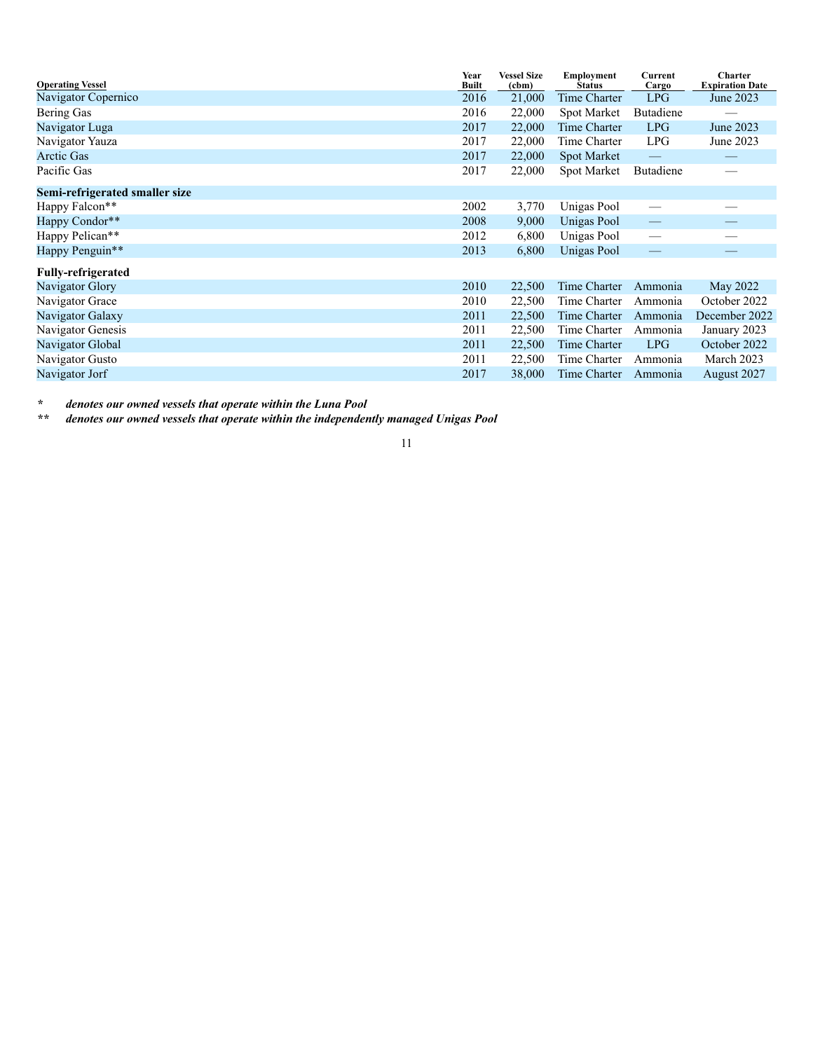| <b>Operating Vessel</b>        | Year<br><b>Built</b> | <b>Vessel Size</b><br>(cbm) | Employment<br><b>Status</b> | Current<br>Cargo                | <b>Charter</b><br><b>Expiration Date</b> |
|--------------------------------|----------------------|-----------------------------|-----------------------------|---------------------------------|------------------------------------------|
| Navigator Copernico            | 2016                 | 21,000                      | Time Charter                | LPG                             | June 2023                                |
| Bering Gas                     | 2016                 | 22,000                      | Spot Market                 | Butadiene                       |                                          |
| Navigator Luga                 | 2017                 | 22,000                      | Time Charter                | <b>LPG</b>                      | June 2023                                |
| Navigator Yauza                | 2017                 | 22,000                      | Time Charter                | LPG                             | June 2023                                |
| <b>Arctic Gas</b>              | 2017                 | 22,000                      | <b>Spot Market</b>          |                                 |                                          |
| Pacific Gas                    | 2017                 | 22,000                      | Spot Market                 | Butadiene                       |                                          |
| Semi-refrigerated smaller size |                      |                             |                             |                                 |                                          |
| Happy Falcon**                 | 2002                 | 3,770                       | Unigas Pool                 | $\overline{\phantom{a}}$        |                                          |
| Happy Condor**                 | 2008                 | 9,000                       | Unigas Pool                 | $\hspace{0.1mm}-\hspace{0.1mm}$ |                                          |
| Happy Pelican**                | 2012                 | 6,800                       | Unigas Pool                 | $\overbrace{\phantom{12333}}$   |                                          |
| Happy Penguin**                | 2013                 | 6,800                       | Unigas Pool                 | $\overline{\phantom{m}}$        |                                          |
| <b>Fully-refrigerated</b>      |                      |                             |                             |                                 |                                          |
| Navigator Glory                | 2010                 | 22,500                      | Time Charter                | Ammonia                         | May 2022                                 |
| Navigator Grace                | 2010                 | 22,500                      | Time Charter                | Ammonia                         | October 2022                             |
| Navigator Galaxy               | 2011                 | 22,500                      | Time Charter                | Ammonia                         | December 2022                            |
| Navigator Genesis              | 2011                 | 22,500                      | Time Charter                | Ammonia                         | January 2023                             |
| Navigator Global               | 2011                 | 22,500                      | Time Charter                | LPG                             | October 2022                             |
| Navigator Gusto                | 2011                 | 22,500                      | Time Charter                | Ammonia                         | March 2023                               |
| Navigator Jorf                 | 2017                 | 38,000                      | Time Charter                | Ammonia                         | August 2027                              |

*\* denotes our owned vessels that operate within the Luna Pool*

denotes our owned vessels that operate within the independently managed Unigas Pool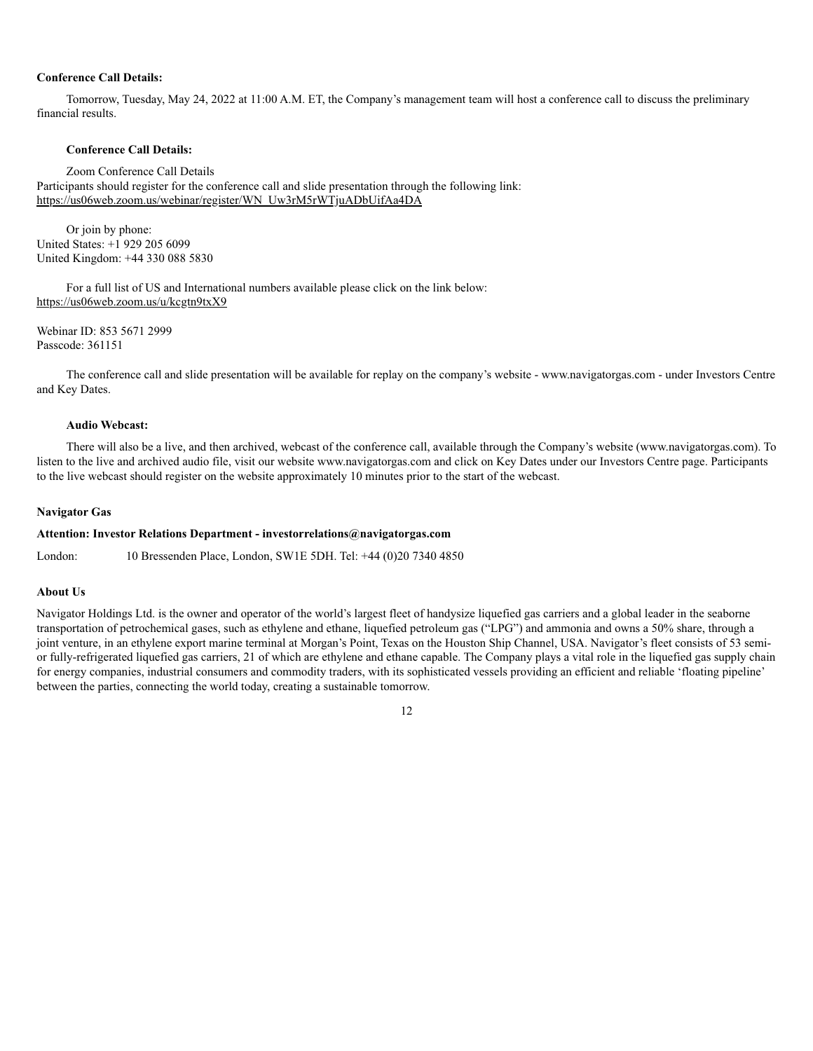#### **Conference Call Details:**

Tomorrow, Tuesday, May 24, 2022 at 11:00 A.M. ET, the Company's management team will host a conference call to discuss the preliminary financial results.

#### **Conference Call Details:**

Zoom Conference Call Details

Participants should register for the conference call and slide presentation through the following link: https://us06web.zoom.us/webinar/register/WN\_Uw3rM5rWTjuADbUifAa4DA

Or join by phone: United States: +1 929 205 6099 United Kingdom: +44 330 088 5830

For a full list of US and International numbers available please click on the link below: https://us06web.zoom.us/u/kcgtn9txX9

Webinar ID: 853 5671 2999 Passcode: 361151

The conference call and slide presentation will be available for replay on the company's website - www.navigatorgas.com - under Investors Centre and Key Dates.

#### **Audio Webcast:**

There will also be a live, and then archived, webcast of the conference call, available through the Company's website (www.navigatorgas.com). To listen to the live and archived audio file, visit our website www.navigatorgas.com and click on Key Dates under our Investors Centre page. Participants to the live webcast should register on the website approximately 10 minutes prior to the start of the webcast.

#### **Navigator Gas**

#### **Attention: Investor Relations Department - investorrelations@navigatorgas.com**

London: 10 Bressenden Place, London, SW1E 5DH. Tel: +44 (0)20 7340 4850

#### **About Us**

Navigator Holdings Ltd. is the owner and operator of the world's largest fleet of handysize liquefied gas carriers and a global leader in the seaborne transportation of petrochemical gases, such as ethylene and ethane, liquefied petroleum gas ("LPG") and ammonia and owns a 50% share, through a joint venture, in an ethylene export marine terminal at Morgan's Point, Texas on the Houston Ship Channel, USA. Navigator's fleet consists of 53 semior fully-refrigerated liquefied gas carriers, 21 of which are ethylene and ethane capable. The Company plays a vital role in the liquefied gas supply chain for energy companies, industrial consumers and commodity traders, with its sophisticated vessels providing an efficient and reliable 'floating pipeline' between the parties, connecting the world today, creating a sustainable tomorrow.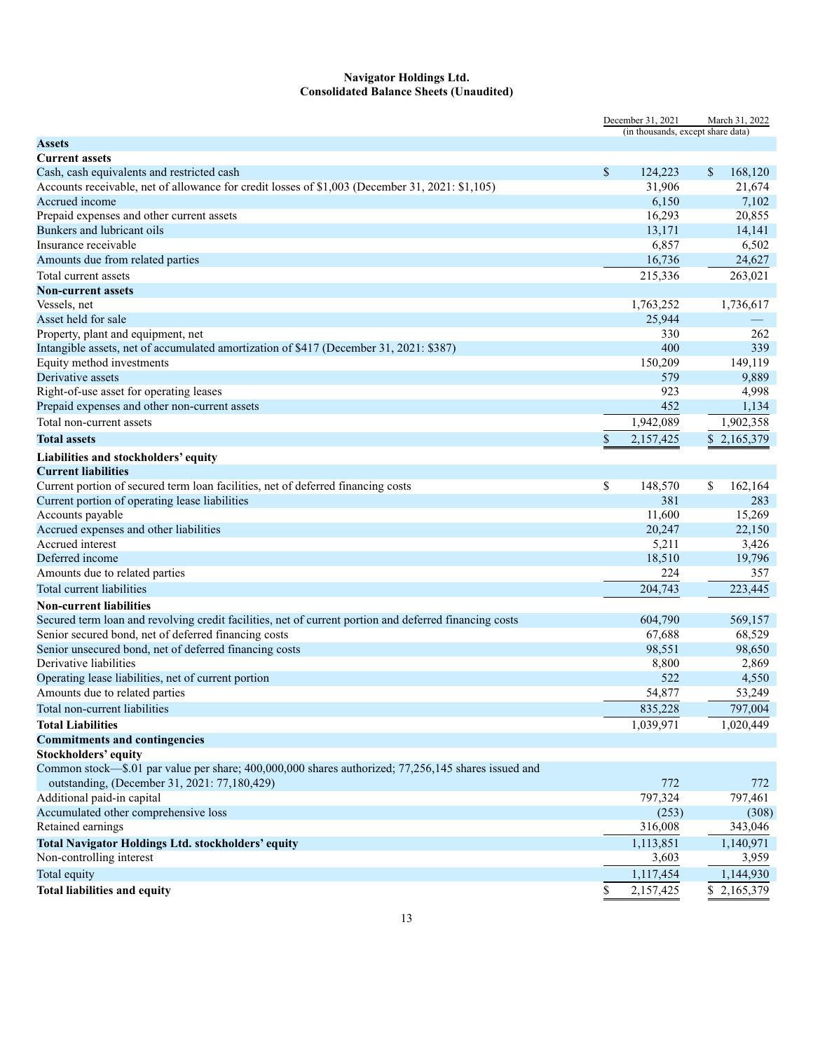#### **Navigator Holdings Ltd. Consolidated Balance Sheets (Unaudited)**

|                                                                                                        | December 31, 2021 |                                   |             | March 31, 2022 |  |
|--------------------------------------------------------------------------------------------------------|-------------------|-----------------------------------|-------------|----------------|--|
|                                                                                                        |                   | (in thousands, except share data) |             |                |  |
| Assets                                                                                                 |                   |                                   |             |                |  |
| <b>Current assets</b>                                                                                  |                   |                                   |             |                |  |
| Cash, cash equivalents and restricted cash                                                             | $\mathbb{S}$      | 124,223                           | \$          | 168,120        |  |
| Accounts receivable, net of allowance for credit losses of \$1,003 (December 31, 2021: \$1,105)        |                   | 31,906                            |             | 21,674         |  |
| Accrued income                                                                                         |                   | 6,150                             |             | 7,102          |  |
| Prepaid expenses and other current assets                                                              |                   | 16,293                            |             | 20,855         |  |
| Bunkers and lubricant oils                                                                             |                   | 13,171                            |             | 14,141         |  |
| Insurance receivable                                                                                   |                   | 6,857                             |             | 6,502          |  |
| Amounts due from related parties                                                                       |                   | 16,736                            |             | 24,627         |  |
| Total current assets                                                                                   |                   | 215,336                           |             | 263,021        |  |
| <b>Non-current assets</b>                                                                              |                   |                                   |             |                |  |
| Vessels, net                                                                                           |                   | 1,763,252                         | 1,736,617   |                |  |
| Asset held for sale                                                                                    |                   | 25,944                            |             |                |  |
| Property, plant and equipment, net                                                                     |                   | 330                               |             | 262            |  |
| Intangible assets, net of accumulated amortization of \$417 (December 31, 2021: \$387)                 |                   | 400                               |             | 339            |  |
| Equity method investments                                                                              |                   | 150,209                           |             | 149,119        |  |
| Derivative assets                                                                                      |                   | 579                               |             | 9,889          |  |
| Right-of-use asset for operating leases                                                                |                   | 923                               |             | 4,998          |  |
| Prepaid expenses and other non-current assets                                                          |                   | 452                               |             | 1,134          |  |
| Total non-current assets                                                                               |                   | 1,942,089                         | 1,902,358   |                |  |
| <b>Total assets</b>                                                                                    | \$                | 2,157,425                         | \$2,165,379 |                |  |
| Liabilities and stockholders' equity                                                                   |                   |                                   |             |                |  |
| <b>Current liabilities</b>                                                                             |                   |                                   |             |                |  |
| Current portion of secured term loan facilities, net of deferred financing costs                       | \$                | 148,570                           | \$          | 162,164        |  |
| Current portion of operating lease liabilities                                                         |                   | 381                               |             | 283            |  |
| Accounts payable                                                                                       |                   | 11,600                            |             | 15,269         |  |
| Accrued expenses and other liabilities                                                                 |                   | 20,247                            |             | 22,150         |  |
| Accrued interest                                                                                       |                   | 5,211                             |             | 3,426          |  |
| Deferred income                                                                                        |                   | 18,510                            |             | 19,796         |  |
| Amounts due to related parties                                                                         |                   | 224                               |             | 357            |  |
| Total current liabilities                                                                              |                   | 204,743                           |             | 223,445        |  |
| <b>Non-current liabilities</b>                                                                         |                   |                                   |             |                |  |
| Secured term loan and revolving credit facilities, net of current portion and deferred financing costs |                   | 604,790                           |             | 569,157        |  |
| Senior secured bond, net of deferred financing costs                                                   |                   | 67,688                            |             | 68,529         |  |
| Senior unsecured bond, net of deferred financing costs                                                 |                   | 98,551                            |             | 98,650         |  |
| Derivative liabilities                                                                                 |                   | 8,800                             |             | 2,869          |  |
| Operating lease liabilities, net of current portion                                                    |                   | 522                               |             | 4,550          |  |
| Amounts due to related parties                                                                         |                   | 54,877                            |             | 53,249         |  |
| Total non-current liabilities                                                                          |                   | 835,228                           |             | 797,004        |  |
| <b>Total Liabilities</b>                                                                               |                   | 1,039,971                         | 1,020,449   |                |  |
| <b>Commitments and contingencies</b>                                                                   |                   |                                   |             |                |  |
| <b>Stockholders' equity</b>                                                                            |                   |                                   |             |                |  |
| Common stock—\$.01 par value per share; 400,000,000 shares authorized; 77,256,145 shares issued and    |                   |                                   |             |                |  |
| outstanding, (December 31, 2021: 77,180,429)                                                           |                   | 772                               |             | 772            |  |
| Additional paid-in capital                                                                             |                   | 797,324                           |             | 797,461        |  |
| Accumulated other comprehensive loss                                                                   |                   | (253)                             |             | (308)          |  |
| Retained earnings                                                                                      |                   | 316,008                           |             | 343,046        |  |
| <b>Total Navigator Holdings Ltd. stockholders' equity</b>                                              |                   | 1,113,851                         | 1,140,971   |                |  |
| Non-controlling interest                                                                               |                   | 3,603                             |             | 3,959          |  |
| Total equity                                                                                           |                   | 1,117,454                         |             | 1,144,930      |  |
| <b>Total liabilities and equity</b>                                                                    |                   |                                   |             |                |  |
|                                                                                                        | \$                | 2,157,425                         | \$2,165,379 |                |  |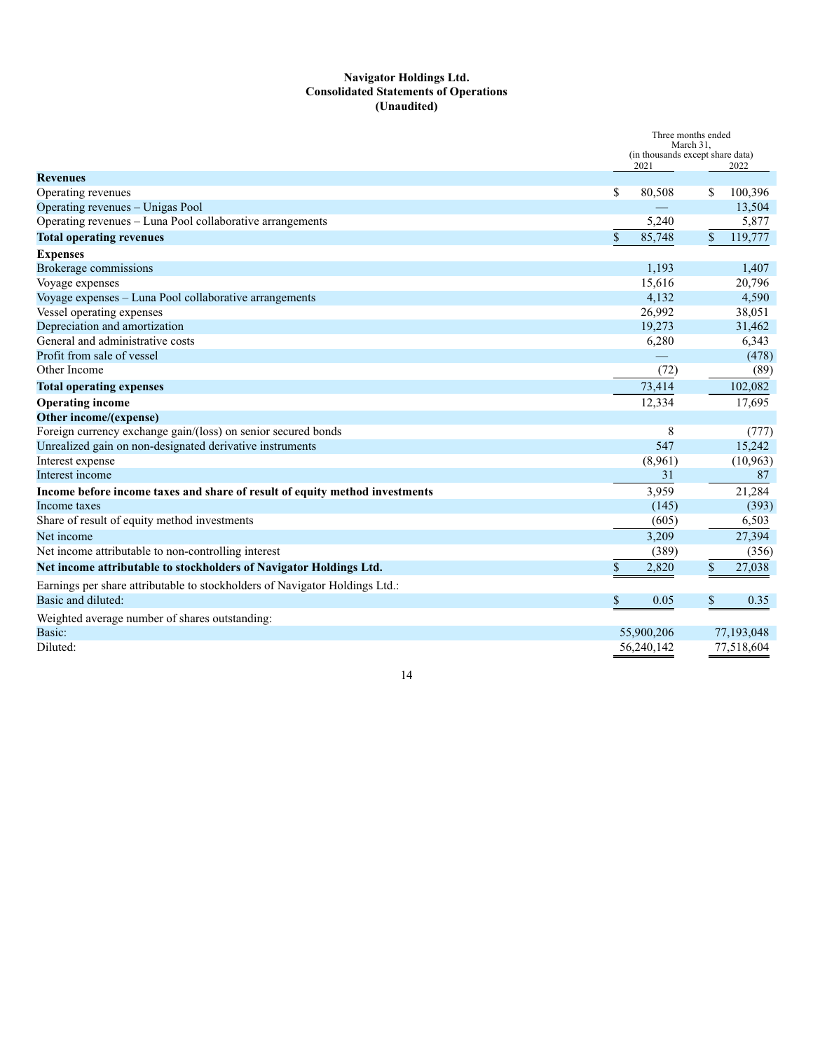#### **Navigator Holdings Ltd. Consolidated Statements of Operations (Unaudited)**

|                                                                             | Three months ended<br>March 31.<br>(in thousands except share data) |            |               |            |
|-----------------------------------------------------------------------------|---------------------------------------------------------------------|------------|---------------|------------|
|                                                                             |                                                                     | 2021       |               | 2022       |
| <b>Revenues</b><br>Operating revenues                                       | \$                                                                  | 80,508     | \$            | 100,396    |
| Operating revenues - Unigas Pool                                            |                                                                     |            |               | 13,504     |
| Operating revenues - Luna Pool collaborative arrangements                   |                                                                     | 5,240      |               | 5,877      |
| <b>Total operating revenues</b>                                             | \$                                                                  | 85,748     | $\mathbb{S}$  | 119,777    |
| <b>Expenses</b>                                                             |                                                                     |            |               |            |
| <b>Brokerage commissions</b>                                                |                                                                     | 1,193      |               | 1,407      |
| Voyage expenses                                                             |                                                                     | 15,616     |               | 20,796     |
| Voyage expenses - Luna Pool collaborative arrangements                      |                                                                     | 4,132      |               | 4,590      |
| Vessel operating expenses                                                   |                                                                     | 26,992     |               | 38,051     |
| Depreciation and amortization                                               |                                                                     | 19,273     |               | 31,462     |
| General and administrative costs                                            |                                                                     | 6,280      |               | 6,343      |
| Profit from sale of vessel                                                  |                                                                     |            |               | (478)      |
| Other Income                                                                |                                                                     | (72)       |               | (89)       |
| <b>Total operating expenses</b>                                             |                                                                     | 73,414     |               | 102,082    |
| <b>Operating income</b>                                                     |                                                                     | 12,334     |               | 17,695     |
| Other income/(expense)                                                      |                                                                     |            |               |            |
| Foreign currency exchange gain/(loss) on senior secured bonds               |                                                                     | 8          |               | (777)      |
| Unrealized gain on non-designated derivative instruments                    |                                                                     | 547        |               | 15,242     |
| Interest expense                                                            |                                                                     | (8,961)    |               | (10, 963)  |
| Interest income                                                             |                                                                     | 31         |               | 87         |
| Income before income taxes and share of result of equity method investments |                                                                     | 3,959      |               | 21,284     |
| Income taxes                                                                |                                                                     | (145)      |               | (393)      |
| Share of result of equity method investments                                |                                                                     | (605)      |               | 6,503      |
| Net income                                                                  |                                                                     | 3,209      |               | 27,394     |
| Net income attributable to non-controlling interest                         |                                                                     | (389)      |               | (356)      |
| Net income attributable to stockholders of Navigator Holdings Ltd.          | \$                                                                  | 2,820      | $\mathbb{S}$  | 27,038     |
| Earnings per share attributable to stockholders of Navigator Holdings Ltd.: |                                                                     |            |               |            |
| Basic and diluted:                                                          | \$                                                                  | 0.05       | $\mathcal{S}$ | 0.35       |
| Weighted average number of shares outstanding:                              |                                                                     |            |               |            |
| Basic:                                                                      |                                                                     | 55,900,206 |               | 77,193,048 |
| Diluted:                                                                    |                                                                     | 56,240,142 |               | 77,518,604 |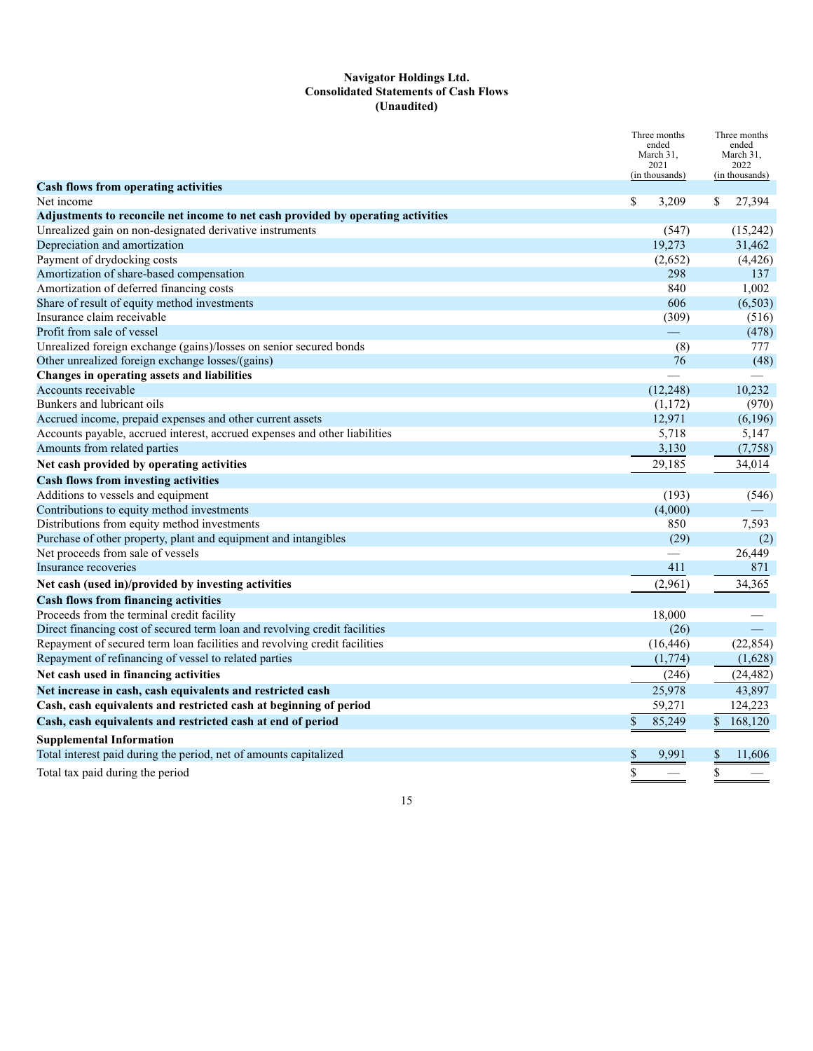#### **Navigator Holdings Ltd. Consolidated Statements of Cash Flows (Unaudited)**

|                                                                                  | Three months<br>ended<br>March 31,<br>2021<br>(in thousands) | Three months<br>ended<br>March 31,<br>2022<br>(in thousands) |  |
|----------------------------------------------------------------------------------|--------------------------------------------------------------|--------------------------------------------------------------|--|
| <b>Cash flows from operating activities</b><br>Net income                        | \$<br>3,209                                                  | 27,394<br>S                                                  |  |
| Adjustments to reconcile net income to net cash provided by operating activities |                                                              |                                                              |  |
| Unrealized gain on non-designated derivative instruments                         | (547)                                                        | (15,242)                                                     |  |
| Depreciation and amortization                                                    | 19,273                                                       | 31,462                                                       |  |
| Payment of drydocking costs                                                      | (2,652)                                                      | (4, 426)                                                     |  |
| Amortization of share-based compensation                                         | 298                                                          | 137                                                          |  |
| Amortization of deferred financing costs                                         | 840                                                          | 1,002                                                        |  |
| Share of result of equity method investments                                     | 606                                                          | (6,503)                                                      |  |
| Insurance claim receivable                                                       | (309)                                                        | (516)                                                        |  |
| Profit from sale of vessel                                                       |                                                              | (478)                                                        |  |
| Unrealized foreign exchange (gains)/losses on senior secured bonds               | (8)                                                          | 777                                                          |  |
| Other unrealized foreign exchange losses/(gains)                                 | 76                                                           | (48)                                                         |  |
| Changes in operating assets and liabilities                                      |                                                              |                                                              |  |
| Accounts receivable                                                              | (12, 248)                                                    | 10,232                                                       |  |
| Bunkers and lubricant oils                                                       | (1,172)                                                      | (970)                                                        |  |
| Accrued income, prepaid expenses and other current assets                        | 12,971                                                       | (6,196)                                                      |  |
| Accounts payable, accrued interest, accrued expenses and other liabilities       | 5,718                                                        | 5,147                                                        |  |
| Amounts from related parties                                                     | 3,130                                                        | (7,758)                                                      |  |
| Net cash provided by operating activities                                        | 29,185                                                       | 34,014                                                       |  |
| <b>Cash flows from investing activities</b>                                      |                                                              |                                                              |  |
| Additions to vessels and equipment                                               | (193)                                                        | (546)                                                        |  |
| Contributions to equity method investments                                       | (4,000)                                                      |                                                              |  |
| Distributions from equity method investments                                     | 850                                                          | 7,593                                                        |  |
| Purchase of other property, plant and equipment and intangibles                  | (29)                                                         | (2)                                                          |  |
| Net proceeds from sale of vessels                                                |                                                              | 26,449                                                       |  |
| Insurance recoveries                                                             | 411                                                          | 871                                                          |  |
| Net cash (used in)/provided by investing activities                              | (2,961)                                                      | 34,365                                                       |  |
| <b>Cash flows from financing activities</b>                                      |                                                              |                                                              |  |
| Proceeds from the terminal credit facility                                       | 18,000                                                       |                                                              |  |
| Direct financing cost of secured term loan and revolving credit facilities       | (26)                                                         |                                                              |  |
| Repayment of secured term loan facilities and revolving credit facilities        | (16, 446)                                                    | (22, 854)                                                    |  |
| Repayment of refinancing of vessel to related parties                            | (1,774)                                                      | (1,628)                                                      |  |
| Net cash used in financing activities                                            | (246)                                                        | (24, 482)                                                    |  |
| Net increase in cash, cash equivalents and restricted cash                       | 25,978                                                       | 43,897                                                       |  |
| Cash, cash equivalents and restricted cash at beginning of period                | 59,271                                                       | 124,223                                                      |  |
| Cash, cash equivalents and restricted cash at end of period                      | \$<br>85,249                                                 | $\mathbb{S}$<br>168,120                                      |  |
| <b>Supplemental Information</b>                                                  |                                                              |                                                              |  |
| Total interest paid during the period, net of amounts capitalized                | \$<br>9,991                                                  | \$<br>11,606                                                 |  |
| Total tax paid during the period                                                 | \$                                                           | \$                                                           |  |